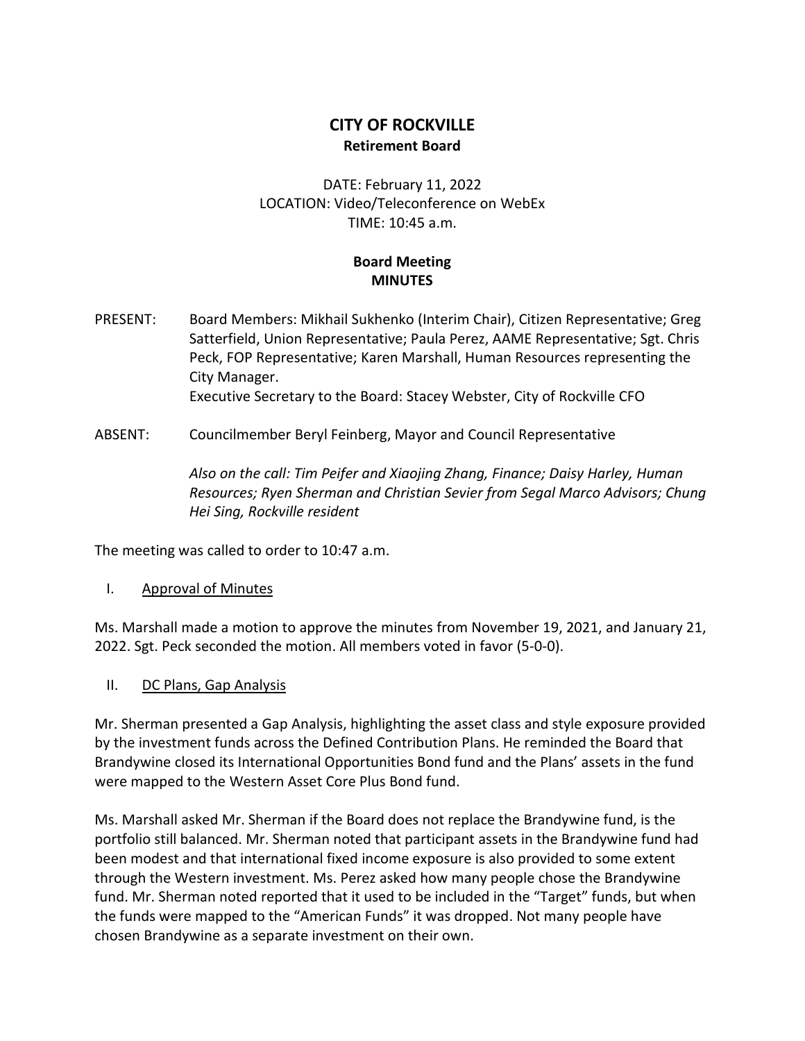## **CITY OF ROCKVILLE Retirement Board**

DATE: February 11, 2022 LOCATION: Video/Teleconference on WebEx TIME: 10:45 a.m.

## **Board Meeting MINUTES**

- PRESENT: Board Members: Mikhail Sukhenko (Interim Chair), Citizen Representative; Greg Satterfield, Union Representative; Paula Perez, AAME Representative; Sgt. Chris Peck, FOP Representative; Karen Marshall, Human Resources representing the City Manager. Executive Secretary to the Board: Stacey Webster, City of Rockville CFO
- ABSENT: Councilmember Beryl Feinberg, Mayor and Council Representative

*Also on the call: Tim Peifer and Xiaojing Zhang, Finance; Daisy Harley, Human Resources; Ryen Sherman and Christian Sevier from Segal Marco Advisors; Chung Hei Sing, Rockville resident*

The meeting was called to order to 10:47 a.m.

## I. Approval of Minutes

Ms. Marshall made a motion to approve the minutes from November 19, 2021, and January 21, 2022. Sgt. Peck seconded the motion. All members voted in favor (5-0-0).

II. DC Plans, Gap Analysis

Mr. Sherman presented a Gap Analysis, highlighting the asset class and style exposure provided by the investment funds across the Defined Contribution Plans. He reminded the Board that Brandywine closed its International Opportunities Bond fund and the Plans' assets in the fund were mapped to the Western Asset Core Plus Bond fund.

Ms. Marshall asked Mr. Sherman if the Board does not replace the Brandywine fund, is the portfolio still balanced. Mr. Sherman noted that participant assets in the Brandywine fund had been modest and that international fixed income exposure is also provided to some extent through the Western investment. Ms. Perez asked how many people chose the Brandywine fund. Mr. Sherman noted reported that it used to be included in the "Target" funds, but when the funds were mapped to the "American Funds" it was dropped. Not many people have chosen Brandywine as a separate investment on their own.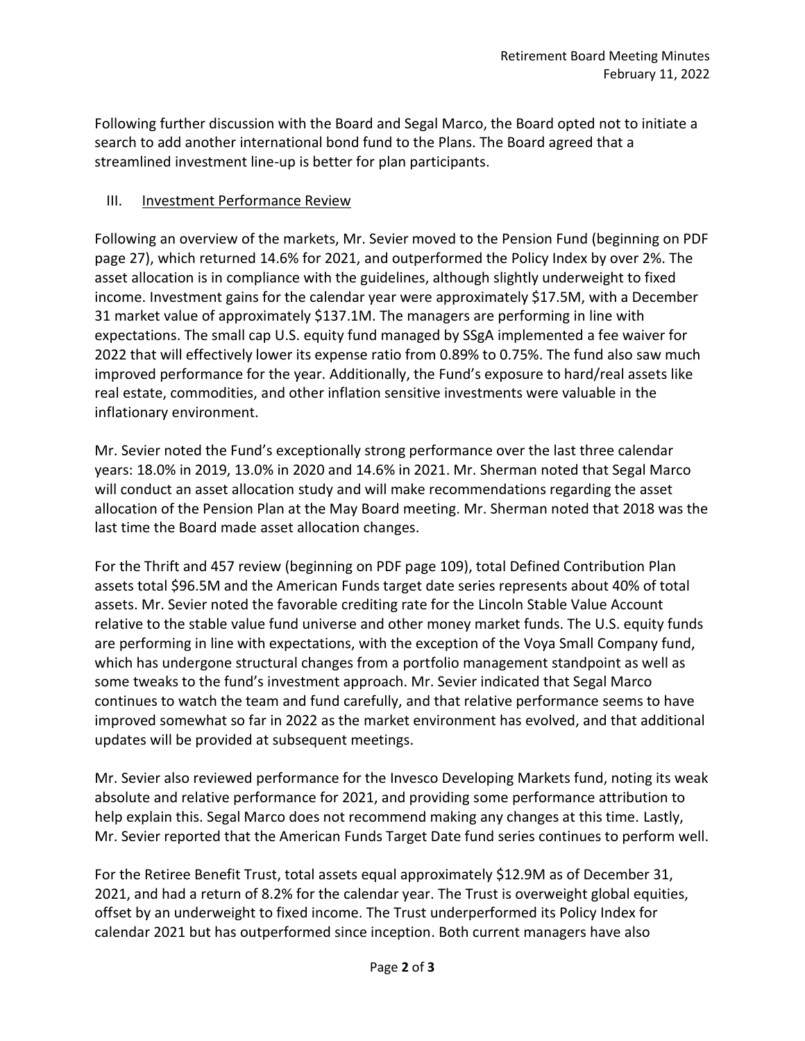Following further discussion with the Board and Segal Marco, the Board opted not to initiate a search to add another international bond fund to the Plans. The Board agreed that a streamlined investment line-up is better for plan participants.

## III. Investment Performance Review

Following an overview of the markets, Mr. Sevier moved to the Pension Fund (beginning on PDF page 27), which returned 14.6% for 2021, and outperformed the Policy Index by over 2%. The asset allocation is in compliance with the guidelines, although slightly underweight to fixed income. Investment gains for the calendar year were approximately \$17.5M, with a December 31 market value of approximately \$137.1M. The managers are performing in line with expectations. The small cap U.S. equity fund managed by SSgA implemented a fee waiver for 2022 that will effectively lower its expense ratio from 0.89% to 0.75%. The fund also saw much improved performance for the year. Additionally, the Fund's exposure to hard/real assets like real estate, commodities, and other inflation sensitive investments were valuable in the inflationary environment.

Mr. Sevier noted the Fund's exceptionally strong performance over the last three calendar years: 18.0% in 2019, 13.0% in 2020 and 14.6% in 2021. Mr. Sherman noted that Segal Marco will conduct an asset allocation study and will make recommendations regarding the asset allocation of the Pension Plan at the May Board meeting. Mr. Sherman noted that 2018 was the last time the Board made asset allocation changes.

For the Thrift and 457 review (beginning on PDF page 109), total Defined Contribution Plan assets total \$96.5M and the American Funds target date series represents about 40% of total assets. Mr. Sevier noted the favorable crediting rate for the Lincoln Stable Value Account relative to the stable value fund universe and other money market funds. The U.S. equity funds are performing in line with expectations, with the exception of the Voya Small Company fund, which has undergone structural changes from a portfolio management standpoint as well as some tweaks to the fund's investment approach. Mr. Sevier indicated that Segal Marco continues to watch the team and fund carefully, and that relative performance seems to have improved somewhat so far in 2022 as the market environment has evolved, and that additional updates will be provided at subsequent meetings.

Mr. Sevier also reviewed performance for the Invesco Developing Markets fund, noting its weak absolute and relative performance for 2021, and providing some performance attribution to help explain this. Segal Marco does not recommend making any changes at this time. Lastly, Mr. Sevier reported that the American Funds Target Date fund series continues to perform well.

For the Retiree Benefit Trust, total assets equal approximately \$12.9M as of December 31, 2021, and had a return of 8.2% for the calendar year. The Trust is overweight global equities, offset by an underweight to fixed income. The Trust underperformed its Policy Index for calendar 2021 but has outperformed since inception. Both current managers have also